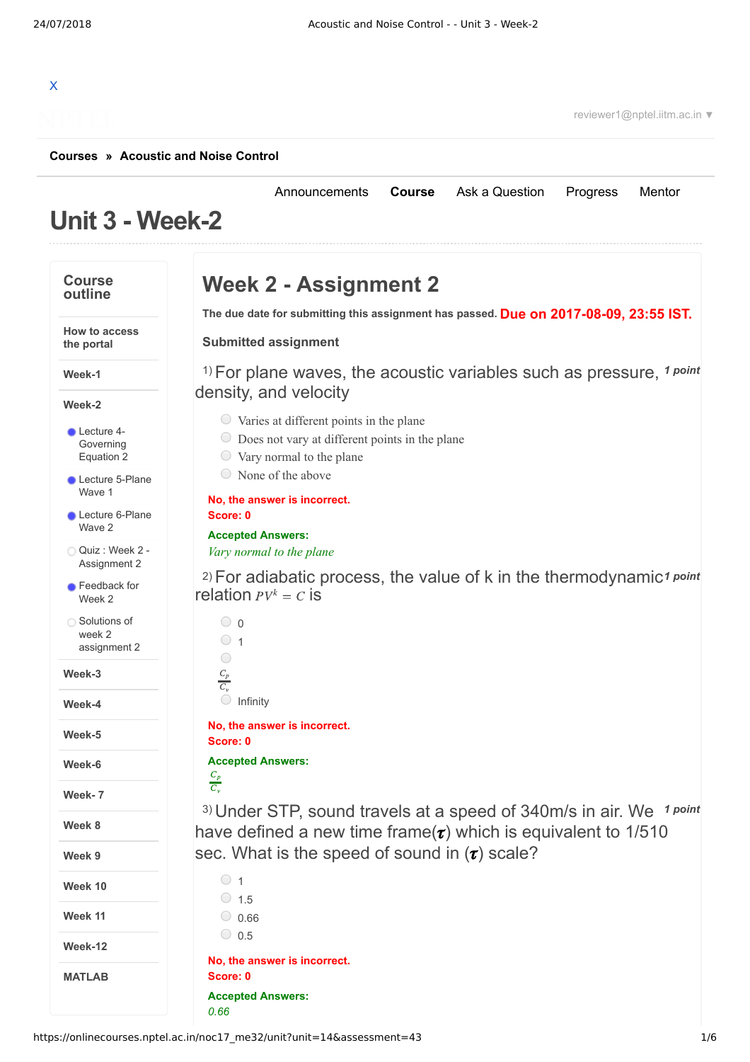[Announcements](https://onlinecourses.nptel.ac.in/noc17_me32/announcements) **[Course](https://onlinecourses.nptel.ac.in/noc17_me32/course)** [Ask a Question](https://onlinecourses.nptel.ac.in/noc17_me32/forum) [Progress](https://onlinecourses.nptel.ac.in/noc17_me32/student/home) [Mentor](https://onlinecourses.nptel.ac.in/noc17_me32/student/mentor)

# X

reviewer1@nptel.iitm.ac.in ▼

### **[Courses](https://onlinecourses.nptel.ac.in/) » [Acoustic and Noise Control](https://onlinecourses.nptel.ac.in/noc17_me32/course)**

# **Unit 3 - Week-2**

#### **Week 2 - Assignment 2 Course outline Due on 2017-08-09, 23:55 IST. The due date for submitting this assignment has passed. How to access Submitted assignment the portal** <sup>1)</sup> For plane waves, the acoustic variables such as pressure, <sup>1 point</sup> **Week-1** density, and velocity **Week-2**  $\circ$  Varies at different points in the plane **Lecture 4-**Does not vary at different points in the plane [Governing](https://onlinecourses.nptel.ac.in/noc17_me32/unit?unit=14&lesson=15) Equation 2  $\circlearrowright$  Vary normal to the plane  $\circ$  None of the above **Lecture [5-Plane](https://onlinecourses.nptel.ac.in/noc17_me32/unit?unit=14&lesson=16)** Wave 1 **No, the answer is incorrect.** Lecture [6-Plane](https://onlinecourses.nptel.ac.in/noc17_me32/unit?unit=14&lesson=17) **Score: 0** Wave 2 **Accepted Answers:** Quiz : Week 2 - *Vary normal to the plane* [Assignment](https://onlinecourses.nptel.ac.in/noc17_me32/assessment?name=43) 2 <sup>2)</sup> For adiabatic process, the value of k in the thermodynamic<sup>1</sup> point **C** [Feedback](https://onlinecourses.nptel.ac.in/noc17_me32/unit?unit=14&lesson=48) for relation  $PV^k = C$  is Week 2 ◯ Solutions of  $\circ$  0 week 2  $\circ$  1 [assignment](https://onlinecourses.nptel.ac.in/noc17_me32/unit?unit=14&lesson=80) 2  $\bigcirc$  $C_p$ **Week-3**  $\overline{C_{v}}$  $\bigcirc$  Infinity **Week-4 No, the answer is incorrect. Week-5 Score: 0 Accepted Answers: Week-6**  $C_p$  $C_v$ **Week- 7** <sup>3)</sup> Under STP, sound travels at a speed of 340m/s in air. We 1 point **Week 8** have defined a new time frame( $\tau$ ) which is equivalent to 1/510 sec. What is the speed of sound in  $(\tau)$  scale? **Week 9**  $\circ$  1 **Week 10**  $\circ$  1.5 **Week 11**  $0.66$  $\circ$  0.5 **Week-12 No, the answer is incorrect. MATLAB Score: 0 Accepted Answers:** *0.66*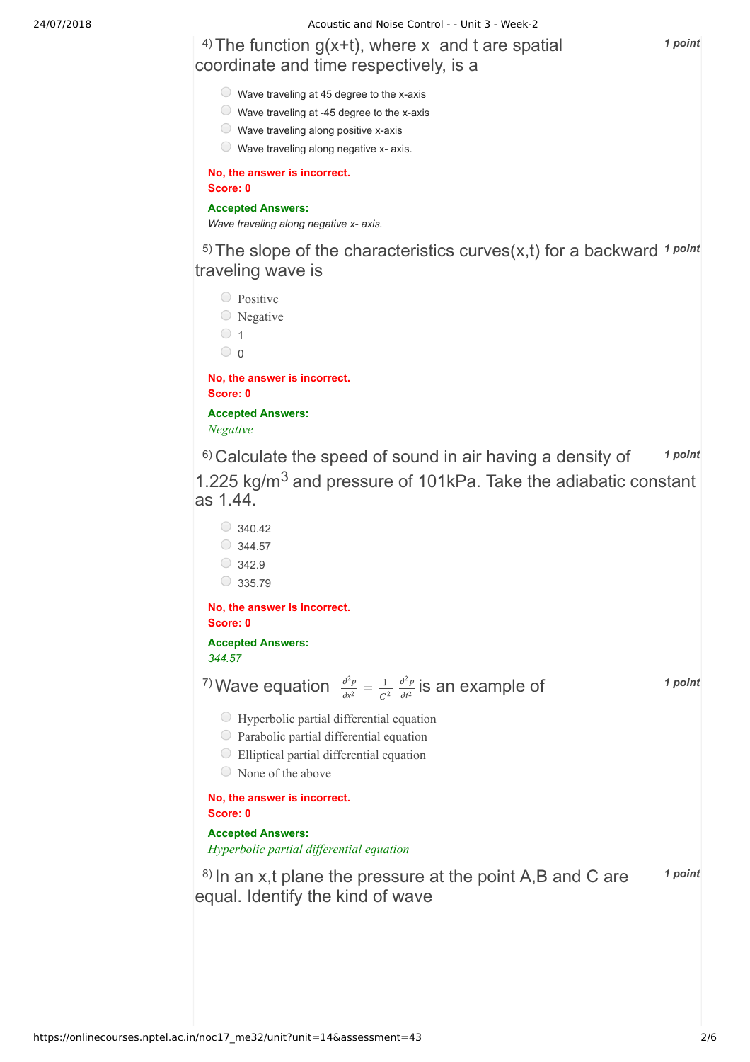24/07/2018 Acoustic and Noise Control - - Unit 3 - Week-2

## 4) *1 point* The function g(x+t), where x and t are spatial coordinate and time respectively, is a

- $\circ$  Wave traveling at 45 degree to the x-axis
- Wave traveling at -45 degree to the x-axis
- $\circ$  Wave traveling along positive x-axis
- $\circledcirc$  Wave traveling along negative x- axis.

**No, the answer is incorrect.**

**Score: 0**

### **Accepted Answers:**

*Wave traveling along negative x- axis.*

<sup>5)</sup> The slope of the characteristics curves(x,t) for a backward 1 point traveling wave is

Positive  $\circ$  Negative  $\circ$  1  $\circ$  0 **No, the answer is incorrect.**

**Score: 0 Accepted Answers:**

*Negative*

<sup>6)</sup> Calculate the speed of sound in air having a density of <sup>1 point</sup> 1.225 kg/m<sup>3</sup> and pressure of 101kPa. Take the adiabatic constant as 1.44.

 $\bigcirc$  340.42  $\circ$  344.57  $\bigcirc$  342.9  $\circ$  335.79

**No, the answer is incorrect. Score: 0**

**Accepted Answers:** *344.57*

<sup>7)</sup> Wave equation  $\frac{\partial^2 p}{\partial x^2} = \frac{1}{\partial x^2} \frac{\partial^2 p}{\partial y^2}$  is an example of **1** point  $\overline{dx^2}$ 1  $\frac{1}{C^2} \frac{\partial^2 p}{\partial t^2}$  $\overline{\partial t^2}$ 

- $\bigcirc$  Hyperbolic partial differential equation
- Parabolic partial differential equation
- Elliptical partial differential equation
- None of the above

**No, the answer is incorrect. Score: 0**

**Accepted Answers:**

*Hyperbolic partial dif erential equation*

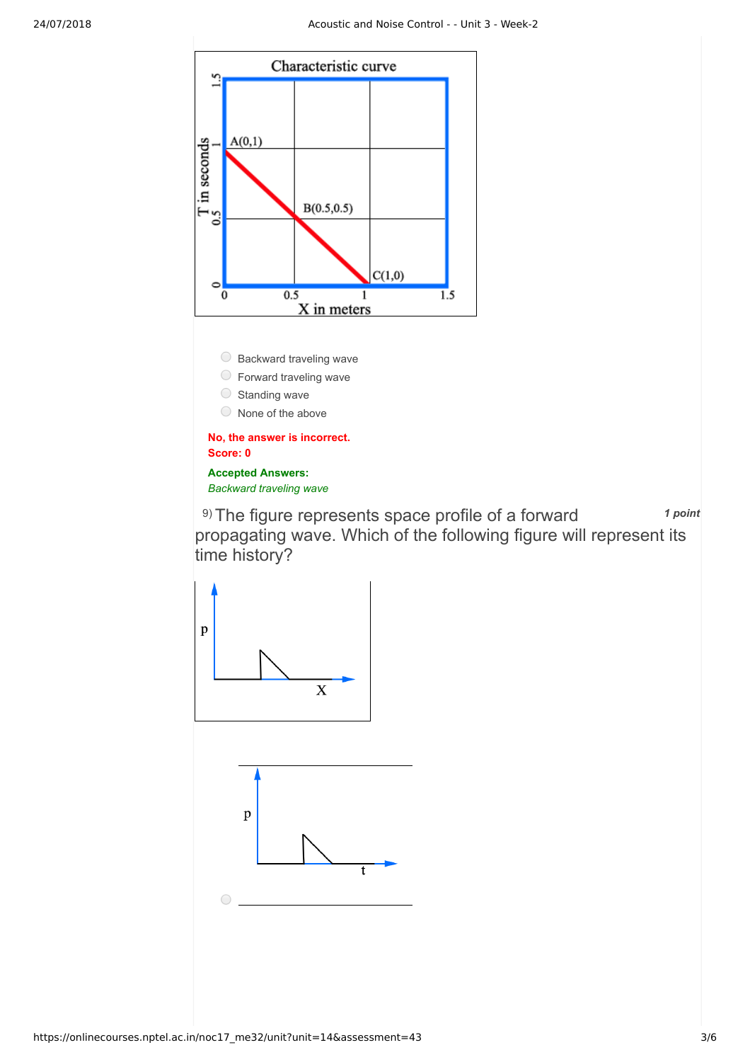

9) *1 point* The figure represents space profile of a forward propagating wave. Which of the following figure will represent its time history?

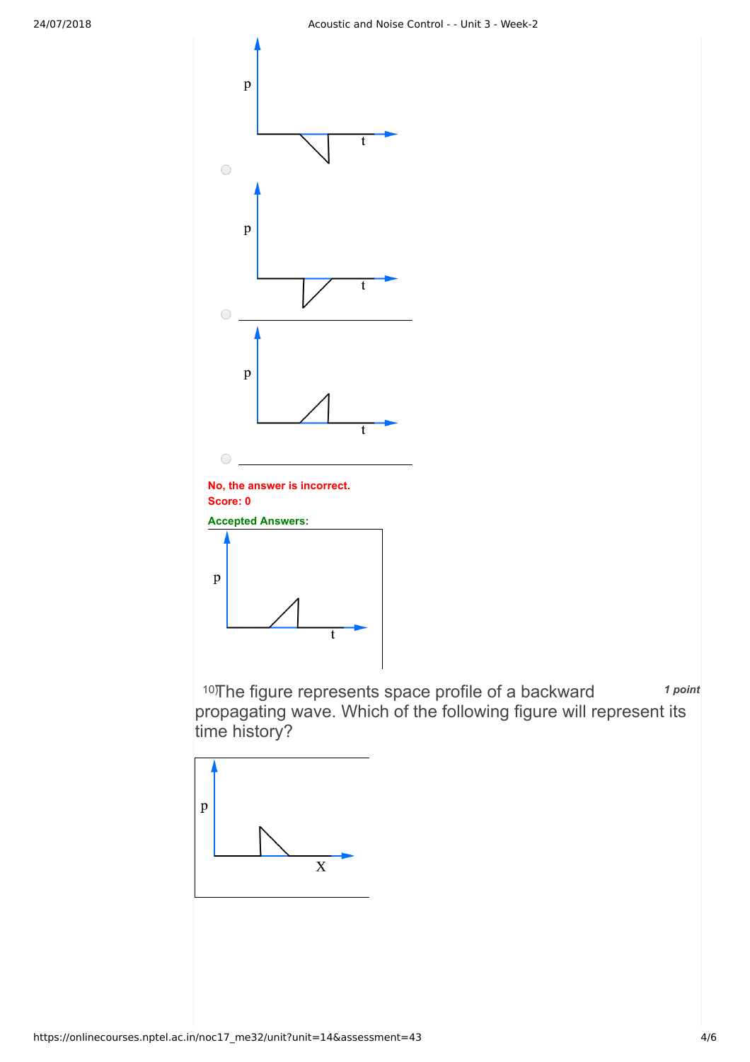

10) The figure represents space profile of a backward 1 point propagating wave. Which of the following figure will represent its time history?

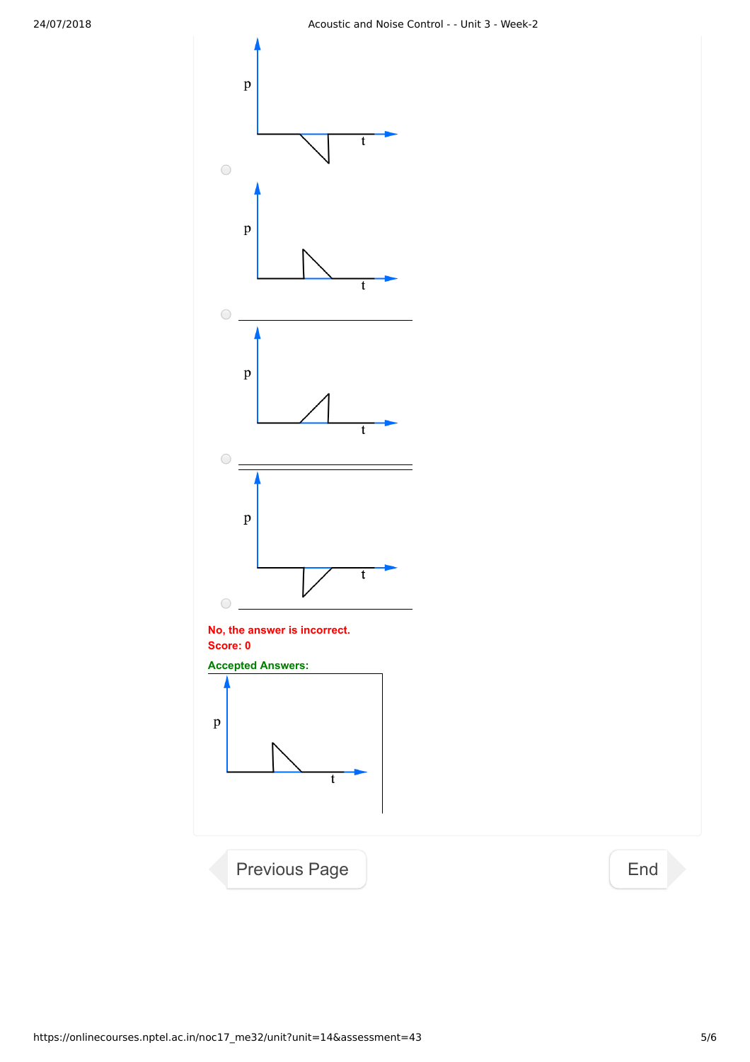